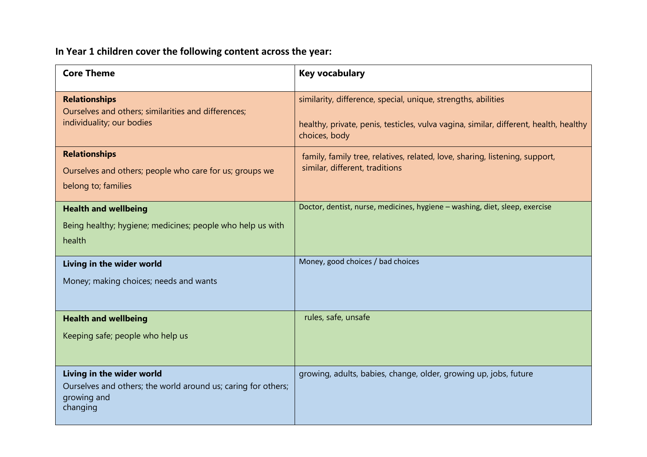# **In Year 1 children cover the following content across the year:**

| <b>Core Theme</b>                                                            | <b>Key vocabulary</b>                                                                                  |
|------------------------------------------------------------------------------|--------------------------------------------------------------------------------------------------------|
| <b>Relationships</b><br>Ourselves and others; similarities and differences;  | similarity, difference, special, unique, strengths, abilities                                          |
| individuality; our bodies                                                    | healthy, private, penis, testicles, vulva vagina, similar, different, health, healthy<br>choices, body |
| <b>Relationships</b>                                                         | family, family tree, relatives, related, love, sharing, listening, support,                            |
| Ourselves and others; people who care for us; groups we                      | similar, different, traditions                                                                         |
| belong to; families                                                          |                                                                                                        |
| <b>Health and wellbeing</b>                                                  | Doctor, dentist, nurse, medicines, hygiene - washing, diet, sleep, exercise                            |
| Being healthy; hygiene; medicines; people who help us with                   |                                                                                                        |
| health                                                                       |                                                                                                        |
| Living in the wider world                                                    | Money, good choices / bad choices                                                                      |
| Money; making choices; needs and wants                                       |                                                                                                        |
|                                                                              |                                                                                                        |
| <b>Health and wellbeing</b>                                                  | rules, safe, unsafe                                                                                    |
| Keeping safe; people who help us                                             |                                                                                                        |
|                                                                              |                                                                                                        |
| Living in the wider world                                                    | growing, adults, babies, change, older, growing up, jobs, future                                       |
| Ourselves and others; the world around us; caring for others;<br>growing and |                                                                                                        |
| changing                                                                     |                                                                                                        |
|                                                                              |                                                                                                        |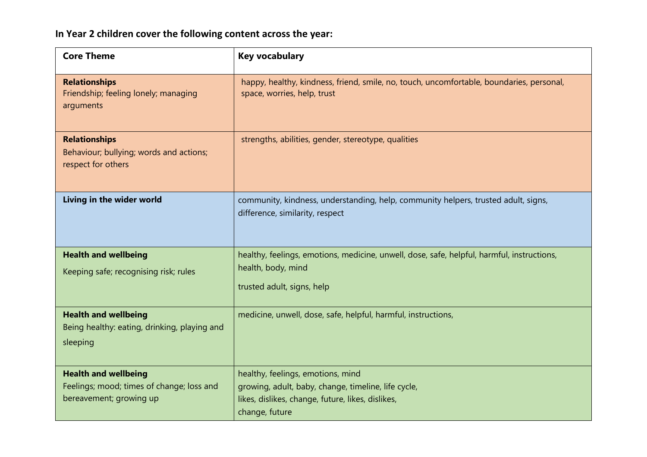# **In Year 2 children cover the following content across the year:**

| <b>Core Theme</b>                                                                                   | <b>Key vocabulary</b>                                                                                                                                           |
|-----------------------------------------------------------------------------------------------------|-----------------------------------------------------------------------------------------------------------------------------------------------------------------|
| <b>Relationships</b><br>Friendship; feeling lonely; managing<br>arguments                           | happy, healthy, kindness, friend, smile, no, touch, uncomfortable, boundaries, personal,<br>space, worries, help, trust                                         |
| <b>Relationships</b><br>Behaviour; bullying; words and actions;<br>respect for others               | strengths, abilities, gender, stereotype, qualities                                                                                                             |
| Living in the wider world                                                                           | community, kindness, understanding, help, community helpers, trusted adult, signs,<br>difference, similarity, respect                                           |
| <b>Health and wellbeing</b><br>Keeping safe; recognising risk; rules                                | healthy, feelings, emotions, medicine, unwell, dose, safe, helpful, harmful, instructions,<br>health, body, mind<br>trusted adult, signs, help                  |
| <b>Health and wellbeing</b><br>Being healthy: eating, drinking, playing and<br>sleeping             | medicine, unwell, dose, safe, helpful, harmful, instructions,                                                                                                   |
| <b>Health and wellbeing</b><br>Feelings; mood; times of change; loss and<br>bereavement; growing up | healthy, feelings, emotions, mind<br>growing, adult, baby, change, timeline, life cycle,<br>likes, dislikes, change, future, likes, dislikes,<br>change, future |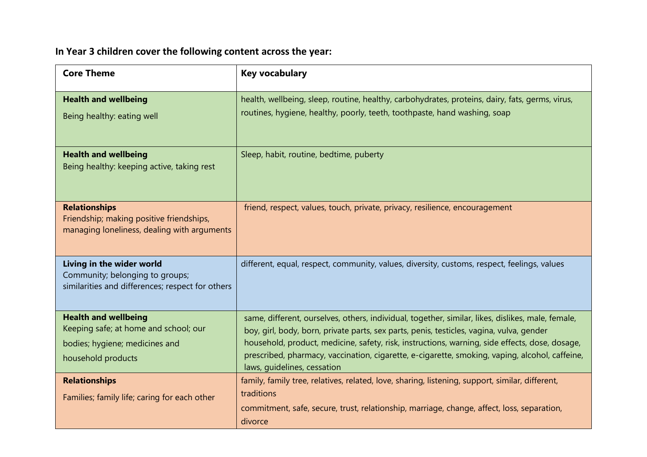# **In Year 3 children cover the following content across the year:**

| <b>Core Theme</b>                                                                                                | <b>Key vocabulary</b>                                                                                                                                                                                                  |
|------------------------------------------------------------------------------------------------------------------|------------------------------------------------------------------------------------------------------------------------------------------------------------------------------------------------------------------------|
| <b>Health and wellbeing</b><br>Being healthy: eating well                                                        | health, wellbeing, sleep, routine, healthy, carbohydrates, proteins, dairy, fats, germs, virus,<br>routines, hygiene, healthy, poorly, teeth, toothpaste, hand washing, soap                                           |
|                                                                                                                  |                                                                                                                                                                                                                        |
| <b>Health and wellbeing</b><br>Being healthy: keeping active, taking rest                                        | Sleep, habit, routine, bedtime, puberty                                                                                                                                                                                |
| <b>Relationships</b><br>Friendship; making positive friendships,<br>managing loneliness, dealing with arguments  | friend, respect, values, touch, private, privacy, resilience, encouragement                                                                                                                                            |
| Living in the wider world<br>Community; belonging to groups;<br>similarities and differences; respect for others | different, equal, respect, community, values, diversity, customs, respect, feelings, values                                                                                                                            |
| <b>Health and wellbeing</b><br>Keeping safe; at home and school; our                                             | same, different, ourselves, others, individual, together, similar, likes, dislikes, male, female,<br>boy, girl, body, born, private parts, sex parts, penis, testicles, vagina, vulva, gender                          |
| bodies; hygiene; medicines and                                                                                   | household, product, medicine, safety, risk, instructions, warning, side effects, dose, dosage,                                                                                                                         |
| household products                                                                                               | prescribed, pharmacy, vaccination, cigarette, e-cigarette, smoking, vaping, alcohol, caffeine,<br>laws, guidelines, cessation                                                                                          |
| <b>Relationships</b><br>Families; family life; caring for each other                                             | family, family tree, relatives, related, love, sharing, listening, support, similar, different,<br>traditions<br>commitment, safe, secure, trust, relationship, marriage, change, affect, loss, separation,<br>divorce |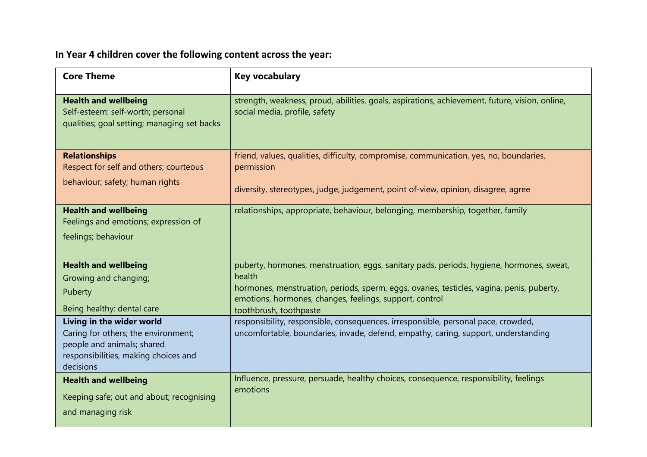**In Year 4 children cover the following content across the year:**

| <b>Core Theme</b>                                                                                                                                   | <b>Key vocabulary</b>                                                                                                                                                                             |
|-----------------------------------------------------------------------------------------------------------------------------------------------------|---------------------------------------------------------------------------------------------------------------------------------------------------------------------------------------------------|
| <b>Health and wellbeing</b><br>Self-esteem: self-worth; personal<br>qualities; goal setting; managing set backs                                     | strength, weakness, proud, abilities, goals, aspirations, achievement, future, vision, online,<br>social media, profile, safety                                                                   |
| <b>Relationships</b><br>Respect for self and others; courteous                                                                                      | friend, values, qualities, difficulty, compromise, communication, yes, no, boundaries,<br>permission                                                                                              |
| behaviour; safety; human rights                                                                                                                     | diversity, stereotypes, judge, judgement, point of-view, opinion, disagree, agree                                                                                                                 |
| <b>Health and wellbeing</b><br>Feelings and emotions; expression of                                                                                 | relationships, appropriate, behaviour, belonging, membership, together, family                                                                                                                    |
| feelings; behaviour                                                                                                                                 |                                                                                                                                                                                                   |
|                                                                                                                                                     |                                                                                                                                                                                                   |
| <b>Health and wellbeing</b>                                                                                                                         | puberty, hormones, menstruation, eggs, sanitary pads, periods, hygiene, hormones, sweat,                                                                                                          |
| Growing and changing;<br>Puberty                                                                                                                    | health<br>hormones, menstruation, periods, sperm, eggs, ovaries, testicles, vagina, penis, puberty,                                                                                               |
| Being healthy: dental care                                                                                                                          | emotions, hormones, changes, feelings, support, control                                                                                                                                           |
| Living in the wider world<br>Caring for others; the environment;<br>people and animals; shared<br>responsibilities, making choices and<br>decisions | toothbrush, toothpaste<br>responsibility, responsible, consequences, irresponsible, personal pace, crowded,<br>uncomfortable, boundaries, invade, defend, empathy, caring, support, understanding |
| <b>Health and wellbeing</b>                                                                                                                         | Influence, pressure, persuade, healthy choices, consequence, responsibility, feelings<br>emotions                                                                                                 |
| Keeping safe; out and about; recognising                                                                                                            |                                                                                                                                                                                                   |
| and managing risk                                                                                                                                   |                                                                                                                                                                                                   |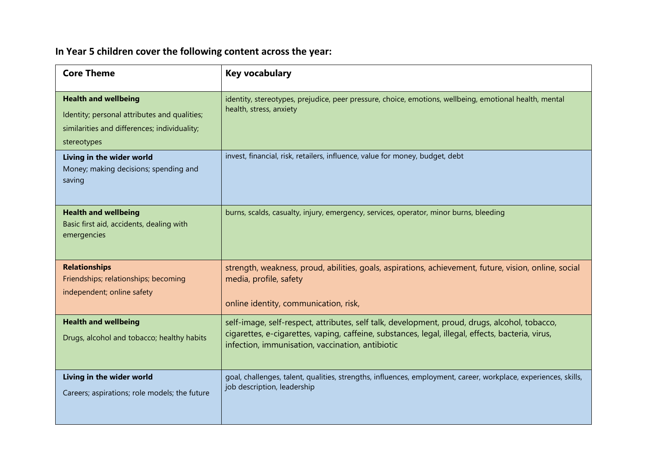# **In Year 5 children cover the following content across the year:**

| <b>Core Theme</b>                                                                                                                          | <b>Key vocabulary</b>                                                                                                                                                                                                                                  |
|--------------------------------------------------------------------------------------------------------------------------------------------|--------------------------------------------------------------------------------------------------------------------------------------------------------------------------------------------------------------------------------------------------------|
| <b>Health and wellbeing</b><br>Identity; personal attributes and qualities;<br>similarities and differences; individuality;<br>stereotypes | identity, stereotypes, prejudice, peer pressure, choice, emotions, wellbeing, emotional health, mental<br>health, stress, anxiety                                                                                                                      |
| Living in the wider world<br>Money; making decisions; spending and<br>saving                                                               | invest, financial, risk, retailers, influence, value for money, budget, debt                                                                                                                                                                           |
| <b>Health and wellbeing</b><br>Basic first aid, accidents, dealing with<br>emergencies                                                     | burns, scalds, casualty, injury, emergency, services, operator, minor burns, bleeding                                                                                                                                                                  |
| <b>Relationships</b><br>Friendships; relationships; becoming<br>independent; online safety                                                 | strength, weakness, proud, abilities, goals, aspirations, achievement, future, vision, online, social<br>media, profile, safety<br>online identity, communication, risk,                                                                               |
| <b>Health and wellbeing</b><br>Drugs, alcohol and tobacco; healthy habits                                                                  | self-image, self-respect, attributes, self talk, development, proud, drugs, alcohol, tobacco,<br>cigarettes, e-cigarettes, vaping, caffeine, substances, legal, illegal, effects, bacteria, virus,<br>infection, immunisation, vaccination, antibiotic |
| Living in the wider world<br>Careers; aspirations; role models; the future                                                                 | goal, challenges, talent, qualities, strengths, influences, employment, career, workplace, experiences, skills,<br>job description, leadership                                                                                                         |